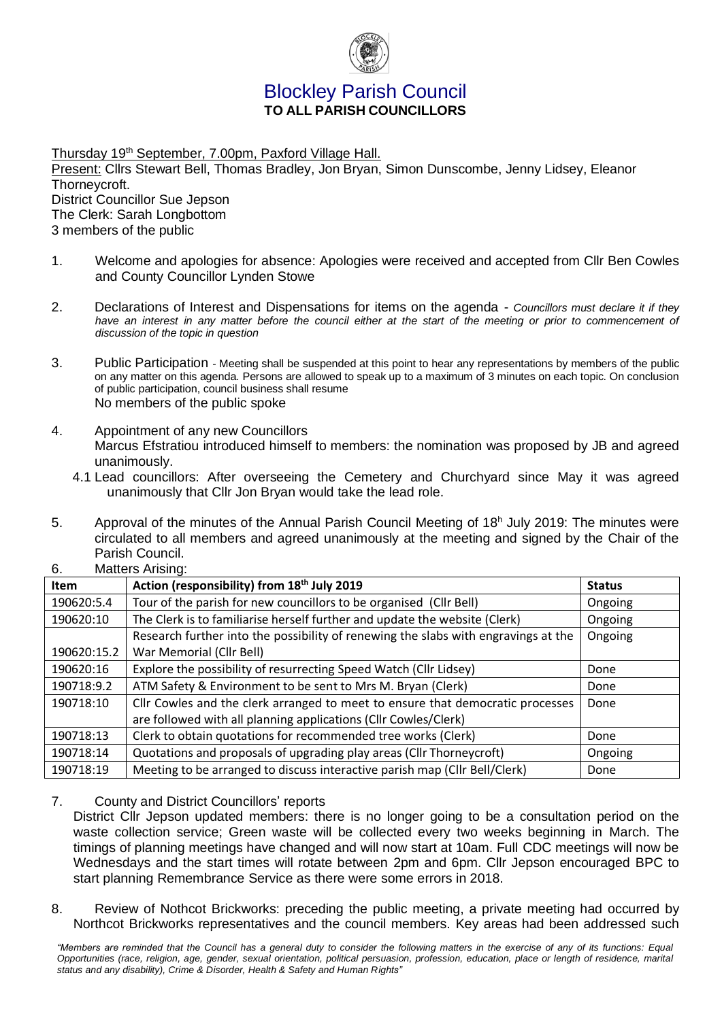

# Blockley Parish Council **TO ALL PARISH COUNCILLORS**

Thursday 19th September, 7.00pm, Paxford Village Hall. Present: Cllrs Stewart Bell, Thomas Bradley, Jon Bryan, Simon Dunscombe, Jenny Lidsey, Eleanor Thorneycroft. District Councillor Sue Jepson The Clerk: Sarah Longbottom 3 members of the public

- 1. Welcome and apologies for absence: Apologies were received and accepted from Cllr Ben Cowles and County Councillor Lynden Stowe
- 2. Declarations of Interest and Dispensations for items on the agenda *Councillors must declare it if they*  have an interest in any matter before the council either at the start of the meeting or prior to commencement of *discussion of the topic in question*
- 3. Public Participation Meeting shall be suspended at this point to hear any representations by members of the public on any matter on this agenda. Persons are allowed to speak up to a maximum of 3 minutes on each topic. On conclusion of public participation, council business shall resume No members of the public spoke
- 4. Appointment of any new Councillors Marcus Efstratiou introduced himself to members: the nomination was proposed by JB and agreed unanimously.
	- 4.1 Lead councillors: After overseeing the Cemetery and Churchyard since May it was agreed unanimously that Cllr Jon Bryan would take the lead role.
- 5. Approval of the minutes of the Annual Parish Council Meeting of 18<sup>h</sup> July 2019: The minutes were circulated to all members and agreed unanimously at the meeting and signed by the Chair of the Parish Council. 6. Matters Arising:

| O.<br>Matters Arising: |                                                                                    |               |  |
|------------------------|------------------------------------------------------------------------------------|---------------|--|
| <b>Item</b>            | Action (responsibility) from 18 <sup>th</sup> July 2019                            | <b>Status</b> |  |
| 190620:5.4             | Tour of the parish for new councillors to be organised (Cllr Bell)                 | Ongoing       |  |
| 190620:10              | The Clerk is to familiarise herself further and update the website (Clerk)         | Ongoing       |  |
|                        | Research further into the possibility of renewing the slabs with engravings at the | Ongoing       |  |
| 190620:15.2            | War Memorial (Cllr Bell)                                                           |               |  |
| 190620:16              | Explore the possibility of resurrecting Speed Watch (Cllr Lidsey)                  | Done          |  |
| 190718:9.2             | ATM Safety & Environment to be sent to Mrs M. Bryan (Clerk)                        | Done          |  |
| 190718:10              | Cllr Cowles and the clerk arranged to meet to ensure that democratic processes     | Done          |  |
|                        | are followed with all planning applications (Cllr Cowles/Clerk)                    |               |  |
| 190718:13              | Clerk to obtain quotations for recommended tree works (Clerk)                      | Done          |  |
| 190718:14              | Quotations and proposals of upgrading play areas (Cllr Thorneycroft)               | Ongoing       |  |
| 190718:19              | Meeting to be arranged to discuss interactive parish map (Cllr Bell/Clerk)         | Done          |  |

- 7. County and District Councillors' reports
	- District Cllr Jepson updated members: there is no longer going to be a consultation period on the waste collection service; Green waste will be collected every two weeks beginning in March. The timings of planning meetings have changed and will now start at 10am. Full CDC meetings will now be Wednesdays and the start times will rotate between 2pm and 6pm. Cllr Jepson encouraged BPC to start planning Remembrance Service as there were some errors in 2018.
- 8. Review of Nothcot Brickworks: preceding the public meeting, a private meeting had occurred by Northcot Brickworks representatives and the council members. Key areas had been addressed such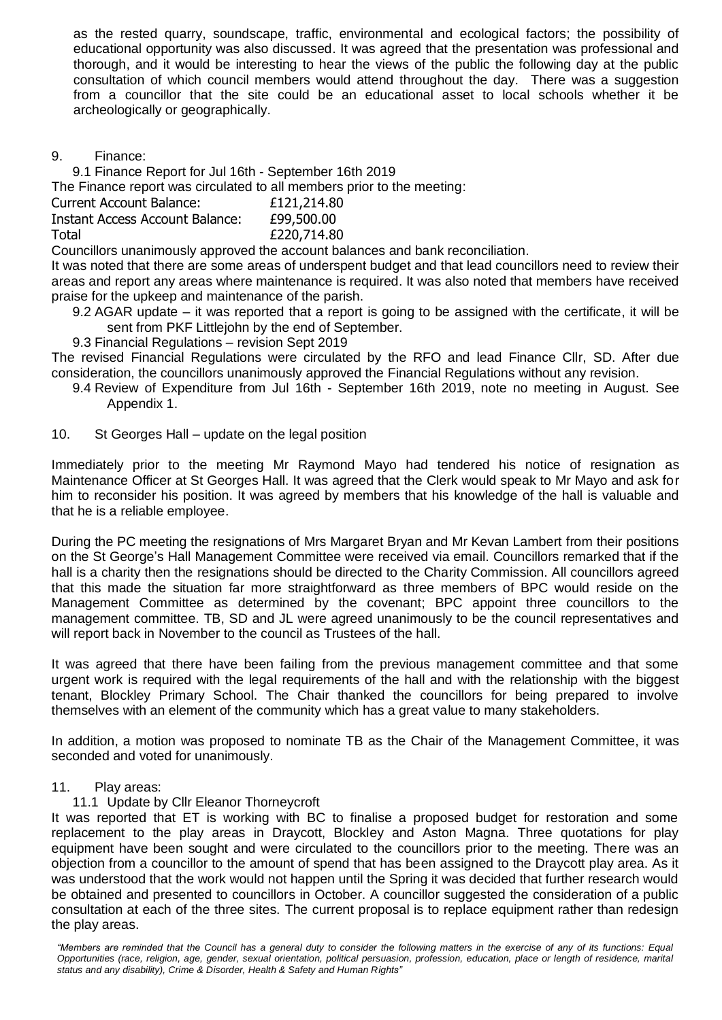as the rested quarry, soundscape, traffic, environmental and ecological factors; the possibility of educational opportunity was also discussed. It was agreed that the presentation was professional and thorough, and it would be interesting to hear the views of the public the following day at the public consultation of which council members would attend throughout the day. There was a suggestion from a councillor that the site could be an educational asset to local schools whether it be archeologically or geographically.

9. Finance:

9.1 Finance Report for Jul 16th - September 16th 2019 The Finance report was circulated to all members prior to the meeting: Current Account Balance: £121,214.80 Instant Access Account Balance: £99,500.00 Total £220,714.80

Councillors unanimously approved the account balances and bank reconciliation.

It was noted that there are some areas of underspent budget and that lead councillors need to review their areas and report any areas where maintenance is required. It was also noted that members have received praise for the upkeep and maintenance of the parish.

- 9.2 AGAR update it was reported that a report is going to be assigned with the certificate, it will be sent from PKF Littlejohn by the end of September.
- 9.3 Financial Regulations revision Sept 2019

The revised Financial Regulations were circulated by the RFO and lead Finance Cllr, SD. After due consideration, the councillors unanimously approved the Financial Regulations without any revision.

- 9.4 Review of Expenditure from Jul 16th September 16th 2019, note no meeting in August. See Appendix 1.
- 10. St Georges Hall update on the legal position

Immediately prior to the meeting Mr Raymond Mayo had tendered his notice of resignation as Maintenance Officer at St Georges Hall. It was agreed that the Clerk would speak to Mr Mayo and ask for him to reconsider his position. It was agreed by members that his knowledge of the hall is valuable and that he is a reliable employee.

During the PC meeting the resignations of Mrs Margaret Bryan and Mr Kevan Lambert from their positions on the St George's Hall Management Committee were received via email. Councillors remarked that if the hall is a charity then the resignations should be directed to the Charity Commission. All councillors agreed that this made the situation far more straightforward as three members of BPC would reside on the Management Committee as determined by the covenant; BPC appoint three councillors to the management committee. TB, SD and JL were agreed unanimously to be the council representatives and will report back in November to the council as Trustees of the hall.

It was agreed that there have been failing from the previous management committee and that some urgent work is required with the legal requirements of the hall and with the relationship with the biggest tenant, Blockley Primary School. The Chair thanked the councillors for being prepared to involve themselves with an element of the community which has a great value to many stakeholders.

In addition, a motion was proposed to nominate TB as the Chair of the Management Committee, it was seconded and voted for unanimously.

### 11. Play areas:

### 11.1 Update by Cllr Eleanor Thorneycroft

It was reported that ET is working with BC to finalise a proposed budget for restoration and some replacement to the play areas in Draycott, Blockley and Aston Magna. Three quotations for play equipment have been sought and were circulated to the councillors prior to the meeting. There was an objection from a councillor to the amount of spend that has been assigned to the Draycott play area. As it was understood that the work would not happen until the Spring it was decided that further research would be obtained and presented to councillors in October. A councillor suggested the consideration of a public consultation at each of the three sites. The current proposal is to replace equipment rather than redesign the play areas.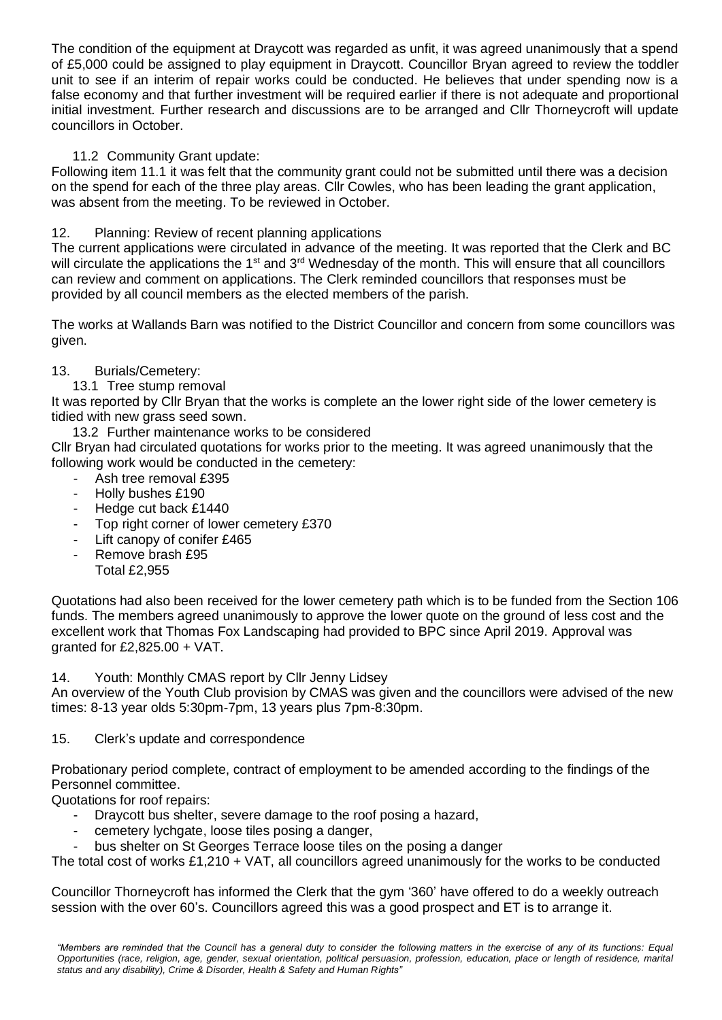The condition of the equipment at Draycott was regarded as unfit, it was agreed unanimously that a spend of £5,000 could be assigned to play equipment in Draycott. Councillor Bryan agreed to review the toddler unit to see if an interim of repair works could be conducted. He believes that under spending now is a false economy and that further investment will be required earlier if there is not adequate and proportional initial investment. Further research and discussions are to be arranged and Cllr Thorneycroft will update councillors in October.

### 11.2 Community Grant update:

Following item 11.1 it was felt that the community grant could not be submitted until there was a decision on the spend for each of the three play areas. Cllr Cowles, who has been leading the grant application, was absent from the meeting. To be reviewed in October.

# 12. Planning: Review of recent planning applications

The current applications were circulated in advance of the meeting. It was reported that the Clerk and BC will circulate the applications the 1<sup>st</sup> and 3<sup>rd</sup> Wednesday of the month. This will ensure that all councillors can review and comment on applications. The Clerk reminded councillors that responses must be provided by all council members as the elected members of the parish.

The works at Wallands Barn was notified to the District Councillor and concern from some councillors was given.

# 13. Burials/Cemetery:

13.1 Tree stump removal

It was reported by Cllr Bryan that the works is complete an the lower right side of the lower cemetery is tidied with new grass seed sown.

13.2 Further maintenance works to be considered

Cllr Bryan had circulated quotations for works prior to the meeting. It was agreed unanimously that the following work would be conducted in the cemetery:

- Ash tree removal £395
- Holly bushes £190
- Hedge cut back £1440
- Top right corner of lower cemetery £370
- Lift canopy of conifer £465
- Remove brash £95 Total £2,955

Quotations had also been received for the lower cemetery path which is to be funded from the Section 106 funds. The members agreed unanimously to approve the lower quote on the ground of less cost and the excellent work that Thomas Fox Landscaping had provided to BPC since April 2019. Approval was qranted for  $£2.825.00 + VAT$ .

14. Youth: Monthly CMAS report by Cllr Jenny Lidsey

An overview of the Youth Club provision by CMAS was given and the councillors were advised of the new times: 8-13 year olds 5:30pm-7pm, 13 years plus 7pm-8:30pm.

15. Clerk's update and correspondence

Probationary period complete, contract of employment to be amended according to the findings of the Personnel committee.

Quotations for roof repairs:

- Draycott bus shelter, severe damage to the roof posing a hazard,
- cemetery lychgate, loose tiles posing a danger,
- bus shelter on St Georges Terrace loose tiles on the posing a danger

The total cost of works £1,210 + VAT, all councillors agreed unanimously for the works to be conducted

Councillor Thorneycroft has informed the Clerk that the gym '360' have offered to do a weekly outreach session with the over 60's. Councillors agreed this was a good prospect and ET is to arrange it.